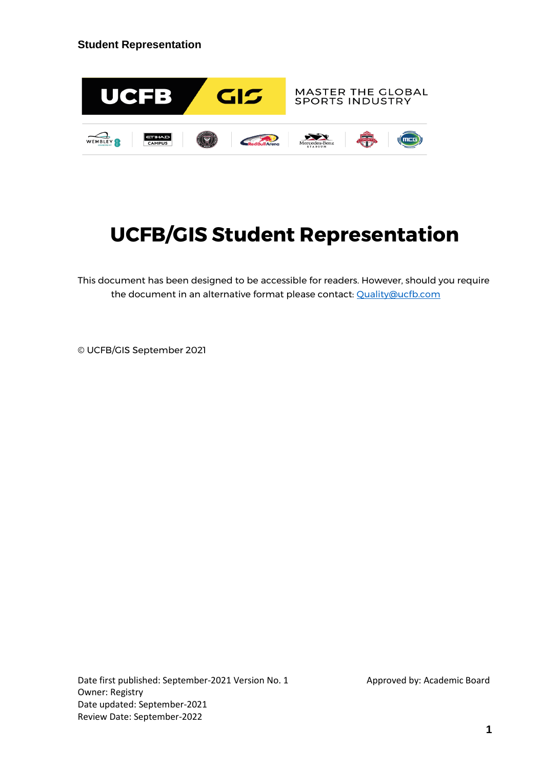

# **UCFB/GIS Student Representation**

This document has been designed to be accessible for readers. However, should you require the document in an alternative format please contact: [Quality@ucfb.com](mailto:Quality@ucfb.com)

© UCFB/GIS September 2021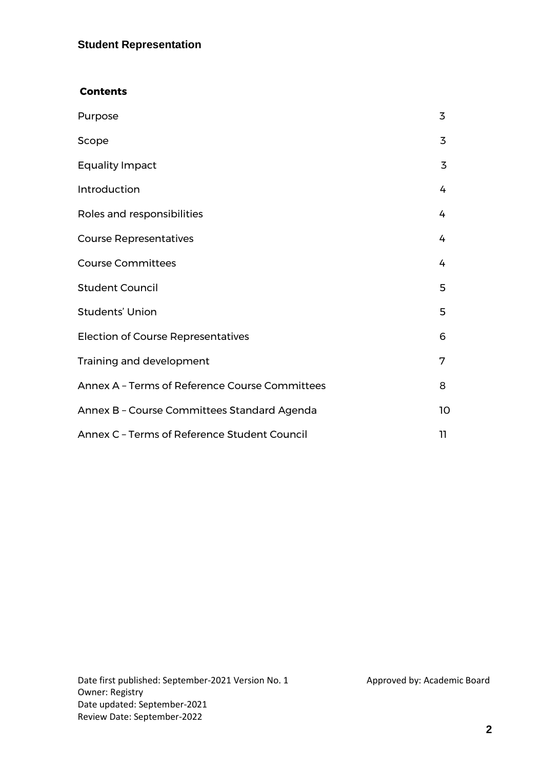#### **Contents**

| Purpose                                        | 3  |
|------------------------------------------------|----|
| Scope                                          | 3  |
| <b>Equality Impact</b>                         | 3  |
| Introduction                                   | 4  |
| Roles and responsibilities                     | 4  |
| <b>Course Representatives</b>                  | 4  |
| <b>Course Committees</b>                       | 4  |
| <b>Student Council</b>                         | 5  |
| <b>Students' Union</b>                         | 5  |
| <b>Election of Course Representatives</b>      | 6  |
| Training and development                       | 7  |
| Annex A - Terms of Reference Course Committees | 8  |
| Annex B - Course Committees Standard Agenda    | 10 |
| Annex C - Terms of Reference Student Council   | 11 |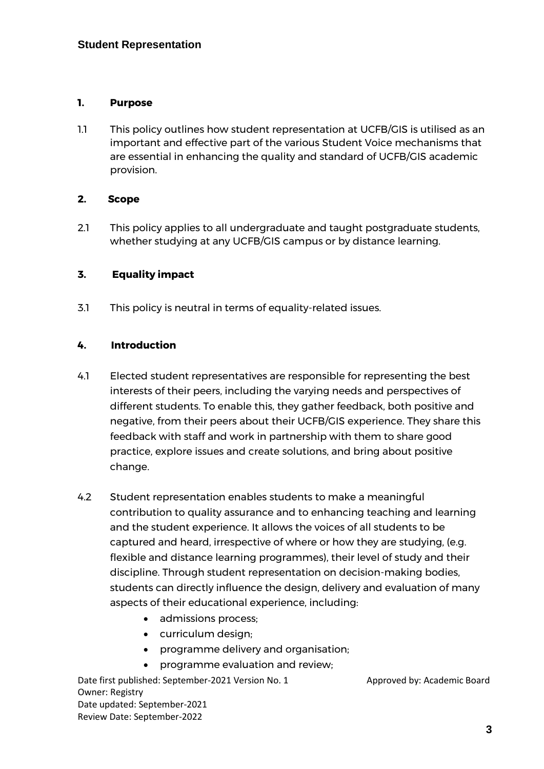#### **1. Purpose**

1.1 This policy outlines how student representation at UCFB/GIS is utilised as an important and effective part of the various Student Voice mechanisms that are essential in enhancing the quality and standard of UCFB/GIS academic provision.

#### **2. Scope**

2.1 This policy applies to all undergraduate and taught postgraduate students, whether studying at any UCFB/GIS campus or by distance learning.

## **3. Equality impact**

3.1 This policy is neutral in terms of equality-related issues.

## **4. Introduction**

- 4.1 Elected student representatives are responsible for representing the best interests of their peers, including the varying needs and perspectives of different students. To enable this, they gather feedback, both positive and negative, from their peers about their UCFB/GIS experience. They share this feedback with staff and work in partnership with them to share good practice, explore issues and create solutions, and bring about positive change.
- 4.2 Student representation enables students to make a meaningful contribution to quality assurance and to enhancing teaching and learning and the student experience. It allows the voices of all students to be captured and heard, irrespective of where or how they are studying, (e.g. flexible and distance learning programmes), their level of study and their discipline. Through student representation on decision-making bodies, students can directly influence the design, delivery and evaluation of many aspects of their educational experience, including:
	- admissions process;
	- curriculum design;
	- programme delivery and organisation;
	- programme evaluation and review;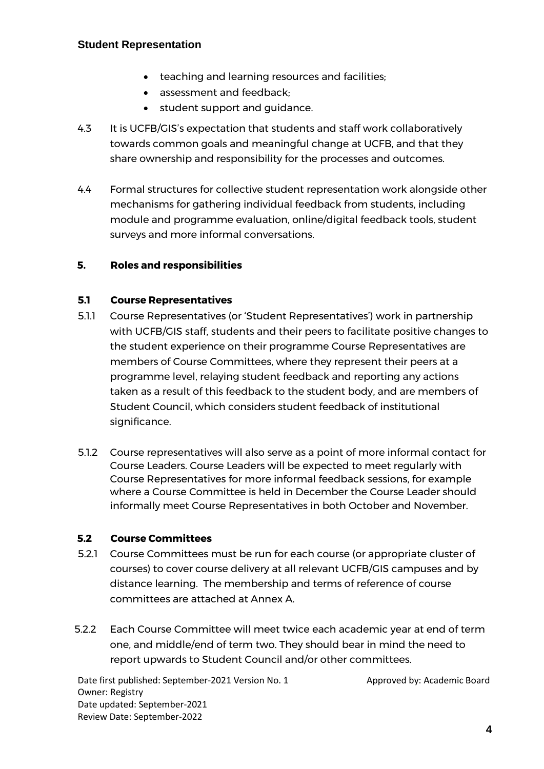- teaching and learning resources and facilities;
- assessment and feedback;
- student support and guidance.
- 4.3 It is UCFB/GIS's expectation that students and staff work collaboratively towards common goals and meaningful change at UCFB, and that they share ownership and responsibility for the processes and outcomes.
- 4.4 Formal structures for collective student representation work alongside other mechanisms for gathering individual feedback from students, including module and programme evaluation, online/digital feedback tools, student surveys and more informal conversations.

## **5. Roles and responsibilities**

## **5.1 Course Representatives**

- 5.1.1 Course Representatives (or 'Student Representatives') work in partnership with UCFB/GIS staff, students and their peers to facilitate positive changes to the student experience on their programme Course Representatives are members of Course Committees, where they represent their peers at a programme level, relaying student feedback and reporting any actions taken as a result of this feedback to the student body, and are members of Student Council, which considers student feedback of institutional significance.
- 5.1.2 Course representatives will also serve as a point of more informal contact for Course Leaders. Course Leaders will be expected to meet regularly with Course Representatives for more informal feedback sessions, for example where a Course Committee is held in December the Course Leader should informally meet Course Representatives in both October and November.

## **5.2 Course Committees**

- 5.2.1 Course Committees must be run for each course (or appropriate cluster of courses) to cover course delivery at all relevant UCFB/GIS campuses and by distance learning. The membership and terms of reference of course committees are attached at Annex A.
- 5.2.2 Each Course Committee will meet twice each academic year at end of term one, and middle/end of term two. They should bear in mind the need to report upwards to Student Council and/or other committees.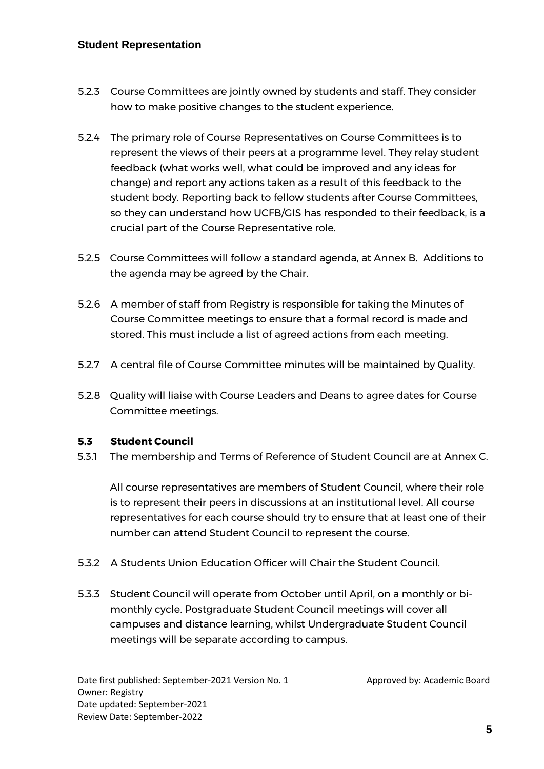- 5.2.3 Course Committees are jointly owned by students and staff. They consider how to make positive changes to the student experience.
- 5.2.4 The primary role of Course Representatives on Course Committees is to represent the views of their peers at a programme level. They relay student feedback (what works well, what could be improved and any ideas for change) and report any actions taken as a result of this feedback to the student body. Reporting back to fellow students after Course Committees, so they can understand how UCFB/GIS has responded to their feedback, is a crucial part of the Course Representative role.
- 5.2.5 Course Committees will follow a standard agenda, at Annex B. Additions to the agenda may be agreed by the Chair.
- 5.2.6 A member of staff from Registry is responsible for taking the Minutes of Course Committee meetings to ensure that a formal record is made and stored. This must include a list of agreed actions from each meeting.
- 5.2.7 A central file of Course Committee minutes will be maintained by Quality.
- 5.2.8 Quality will liaise with Course Leaders and Deans to agree dates for Course Committee meetings.

## **5.3 Student Council**

5.3.1 The membership and Terms of Reference of Student Council are at Annex C.

All course representatives are members of Student Council, where their role is to represent their peers in discussions at an institutional level. All course representatives for each course should try to ensure that at least one of their number can attend Student Council to represent the course.

- 5.3.2 A Students Union Education Officer will Chair the Student Council.
- 5.3.3 Student Council will operate from October until April, on a monthly or bimonthly cycle. Postgraduate Student Council meetings will cover all campuses and distance learning, whilst Undergraduate Student Council meetings will be separate according to campus.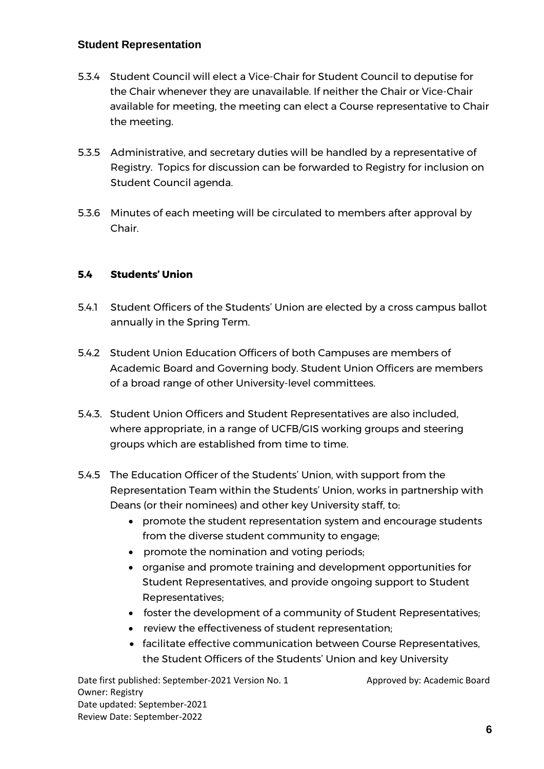- 5.3.4 Student Council will elect a Vice-Chair for Student Council to deputise for the Chair whenever they are unavailable. If neither the Chair or Vice-Chair available for meeting, the meeting can elect a Course representative to Chair the meeting.
- 5.3.5 Administrative, and secretary duties will be handled by a representative of Registry. Topics for discussion can be forwarded to Registry for inclusion on Student Council agenda.
- 5.3.6 Minutes of each meeting will be circulated to members after approval by Chair.

# **5.4 Students' Union**

- 5.4.1 Student Officers of the Students' Union are elected by a cross campus ballot annually in the Spring Term.
- 5.4.2 Student Union Education Officers of both Campuses are members of Academic Board and Governing body. Student Union Officers are members of a broad range of other University-level committees.
- 5.4.3. Student Union Officers and Student Representatives are also included, where appropriate, in a range of UCFB/GIS working groups and steering groups which are established from time to time.
- 5.4.5 The Education Officer of the Students' Union, with support from the Representation Team within the Students' Union, works in partnership with Deans (or their nominees) and other key University staff, to:
	- promote the student representation system and encourage students from the diverse student community to engage;
	- promote the nomination and voting periods;
	- organise and promote training and development opportunities for Student Representatives, and provide ongoing support to Student Representatives;
	- foster the development of a community of Student Representatives;
	- review the effectiveness of student representation;
	- facilitate effective communication between Course Representatives, the Student Officers of the Students' Union and key University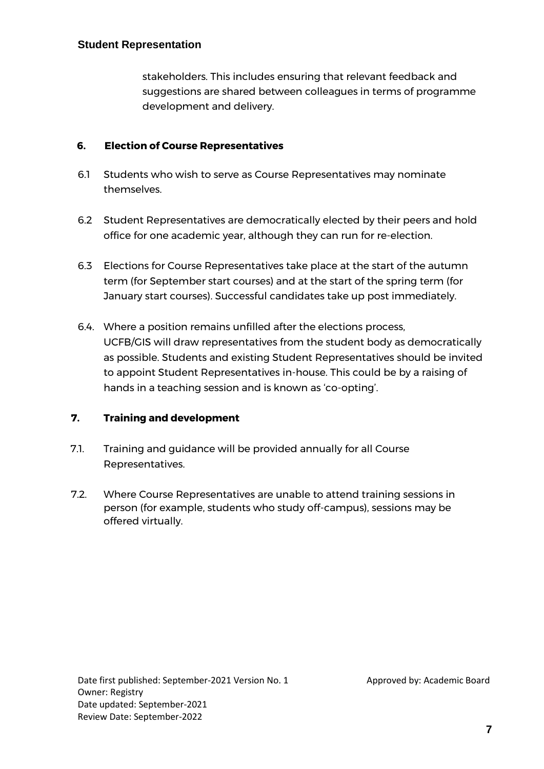stakeholders. This includes ensuring that relevant feedback and suggestions are shared between colleagues in terms of programme development and delivery.

# **6. Election of Course Representatives**

- 6.1 Students who wish to serve as Course Representatives may nominate themselves.
- 6.2 Student Representatives are democratically elected by their peers and hold office for one academic year, although they can run for re-election.
- 6.3 Elections for Course Representatives take place at the start of the autumn term (for September start courses) and at the start of the spring term (for January start courses). Successful candidates take up post immediately.
- 6.4. Where a position remains unfilled after the elections process, UCFB/GIS will draw representatives from the student body as democratically as possible. Students and existing Student Representatives should be invited to appoint Student Representatives in-house. This could be by a raising of hands in a teaching session and is known as 'co-opting'.

# **7. Training and development**

- 7.1. Training and guidance will be provided annually for all Course Representatives.
- 7.2. Where Course Representatives are unable to attend training sessions in person (for example, students who study off-campus), sessions may be offered virtually.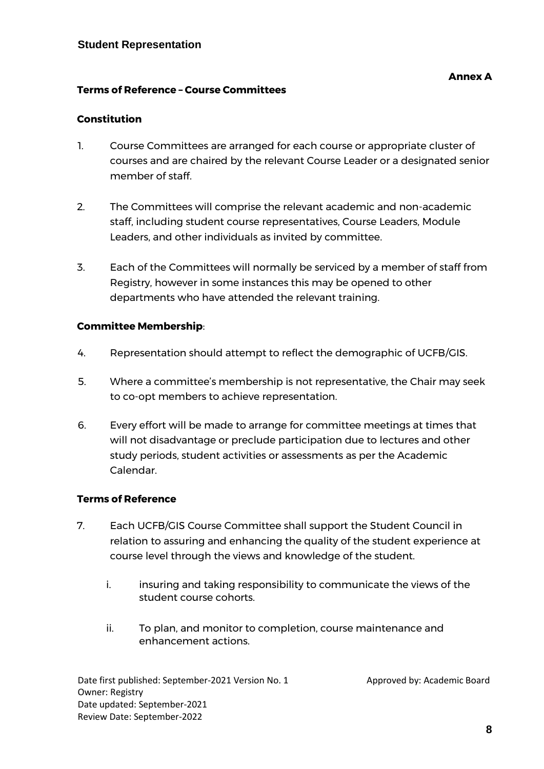## **Terms of Reference – Course Committees**

## **Constitution**

- 1. Course Committees are arranged for each course or appropriate cluster of courses and are chaired by the relevant Course Leader or a designated senior member of staff.
- 2. The Committees will comprise the relevant academic and non-academic staff, including student course representatives, Course Leaders, Module Leaders, and other individuals as invited by committee.
- 3. Each of the Committees will normally be serviced by a member of staff from Registry, however in some instances this may be opened to other departments who have attended the relevant training.

#### **Committee Membership**:

- 4. Representation should attempt to reflect the demographic of UCFB/GIS.
- 5. Where a committee's membership is not representative, the Chair may seek to co-opt members to achieve representation.
- 6. Every effort will be made to arrange for committee meetings at times that will not disadvantage or preclude participation due to lectures and other study periods, student activities or assessments as per the Academic Calendar.

## **Terms of Reference**

- 7. Each UCFB/GIS Course Committee shall support the Student Council in relation to assuring and enhancing the quality of the student experience at course level through the views and knowledge of the student.
	- i. insuring and taking responsibility to communicate the views of the student course cohorts.
	- ii. To plan, and monitor to completion, course maintenance and enhancement actions.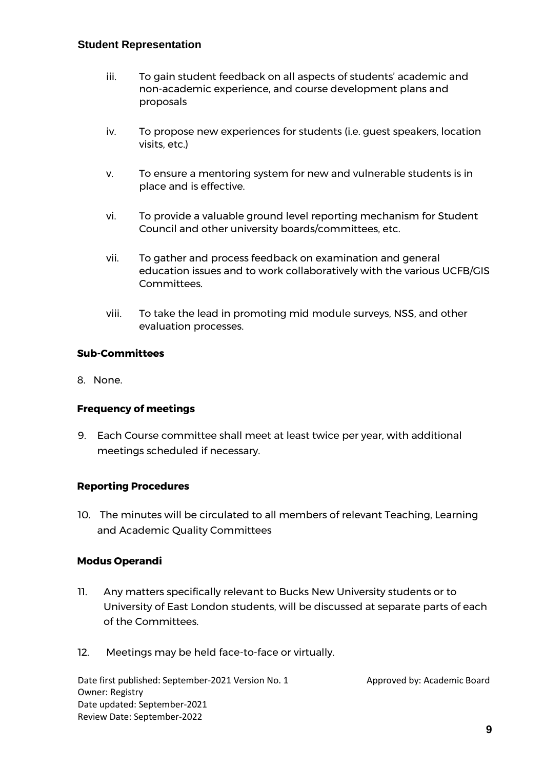- iii. To gain student feedback on all aspects of students' academic and non-academic experience, and course development plans and proposals
- iv. To propose new experiences for students (i.e. guest speakers, location visits, etc.)
- v. To ensure a mentoring system for new and vulnerable students is in place and is effective.
- vi. To provide a valuable ground level reporting mechanism for Student Council and other university boards/committees, etc.
- vii. To gather and process feedback on examination and general education issues and to work collaboratively with the various UCFB/GIS Committees.
- viii. To take the lead in promoting mid module surveys, NSS, and other evaluation processes.

## **Sub-Committees**

8. None.

## **Frequency of meetings**

9. Each Course committee shall meet at least twice per year, with additional meetings scheduled if necessary.

## **Reporting Procedures**

10. The minutes will be circulated to all members of relevant Teaching, Learning and Academic Quality Committees

## **Modus Operandi**

- 11. Any matters specifically relevant to Bucks New University students or to University of East London students, will be discussed at separate parts of each of the Committees.
- 12. Meetings may be held face-to-face or virtually.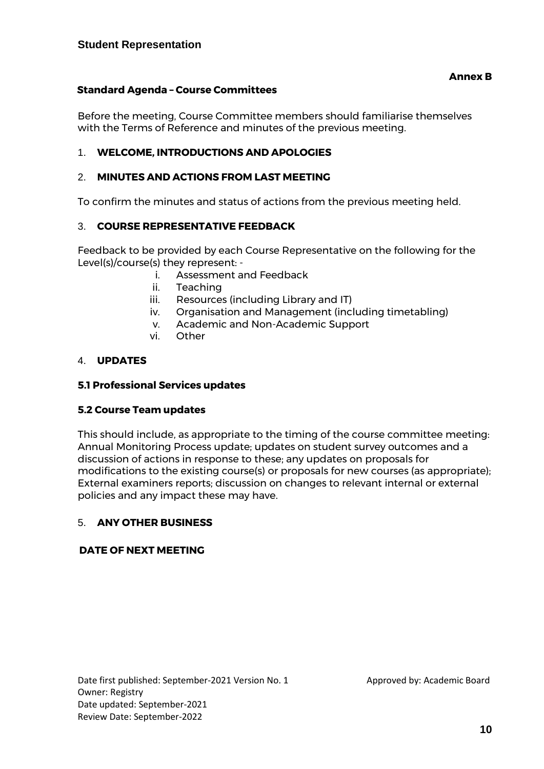## **Standard Agenda – Course Committees**

Before the meeting, Course Committee members should familiarise themselves with the Terms of Reference and minutes of the previous meeting.

#### 1. **WELCOME, INTRODUCTIONS AND APOLOGIES**

#### 2. **MINUTES AND ACTIONS FROM LAST MEETING**

To confirm the minutes and status of actions from the previous meeting held.

#### 3. **COURSE REPRESENTATIVE FEEDBACK**

Feedback to be provided by each Course Representative on the following for the Level(s)/course(s) they represent: -

- i. Assessment and Feedback
- ii. Teaching
- iii. Resources (including Library and IT)
- iv. Organisation and Management (including timetabling)
- v. Academic and Non-Academic Support
- vi. Other

#### 4. **UPDATES**

#### **5.1 Professional Services updates**

#### **5.2 Course Team updates**

This should include, as appropriate to the timing of the course committee meeting: Annual Monitoring Process update; updates on student survey outcomes and a discussion of actions in response to these; any updates on proposals for modifications to the existing course(s) or proposals for new courses (as appropriate); External examiners reports; discussion on changes to relevant internal or external policies and any impact these may have.

#### 5. **ANY OTHER BUSINESS**

#### **DATE OF NEXT MEETING**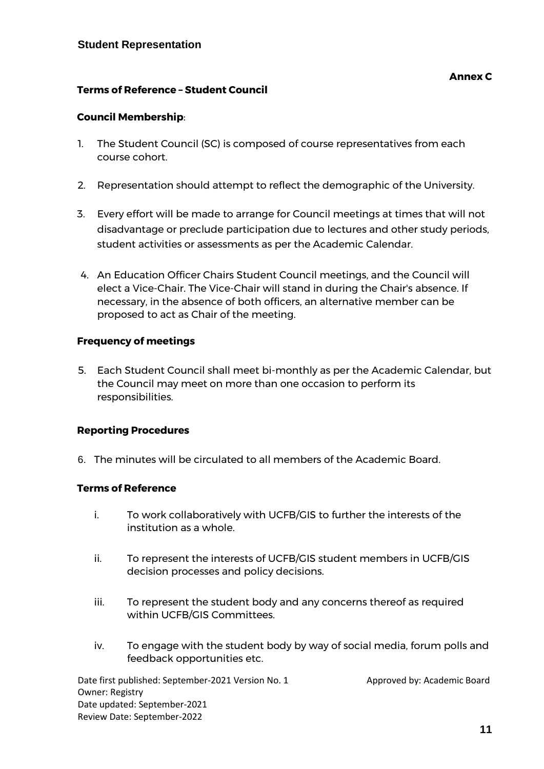- 1. The Student Council (SC) is composed of course representatives from each course cohort.
- 2. Representation should attempt to reflect the demographic of the University.
- 3. Every effort will be made to arrange for Council meetings at times that will not disadvantage or preclude participation due to lectures and other study periods, student activities or assessments as per the Academic Calendar.
- 4. An Education Officer Chairs Student Council meetings, and the Council will elect a Vice-Chair. The Vice-Chair will stand in during the Chair's absence. If necessary, in the absence of both officers, an alternative member can be proposed to act as Chair of the meeting.

## **Frequency of meetings**

5. Each Student Council shall meet bi-monthly as per the Academic Calendar, but the Council may meet on more than one occasion to perform its responsibilities.

## **Reporting Procedures**

6. The minutes will be circulated to all members of the Academic Board.

## **Terms of Reference**

- i. To work collaboratively with UCFB/GIS to further the interests of the institution as a whole.
- ii. To represent the interests of UCFB/GIS student members in UCFB/GIS decision processes and policy decisions.
- iii. To represent the student body and any concerns thereof as required within UCFB/GIS Committees.
- iv. To engage with the student body by way of social media, forum polls and feedback opportunities etc.